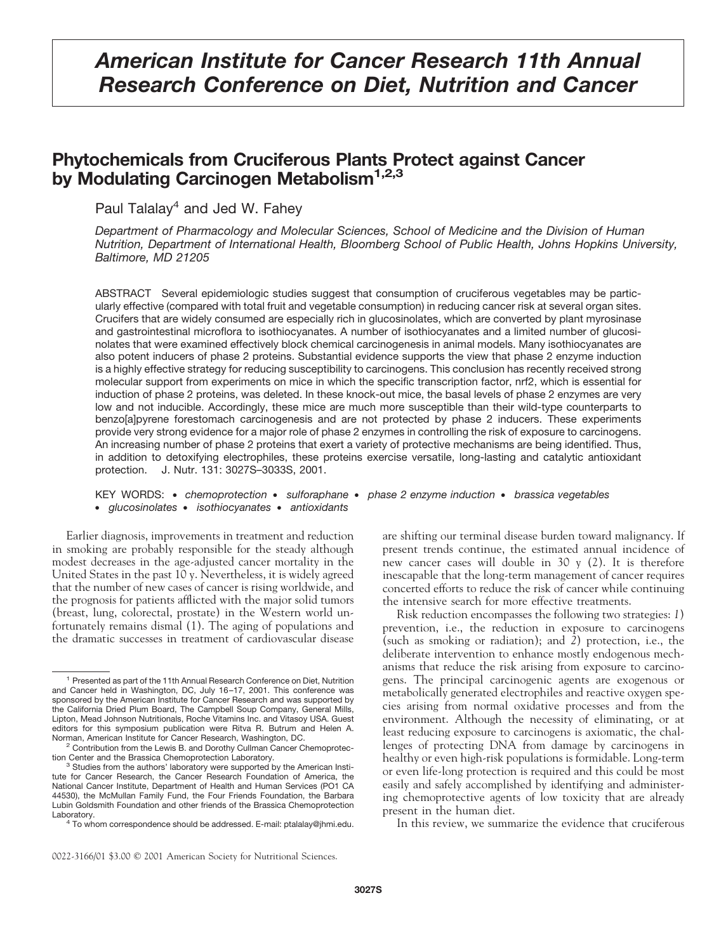# *American Institute for Cancer Research 11th Annual Research Conference on Diet, Nutrition and Cancer*

# **Phytochemicals from Cruciferous Plants Protect against Cancer by Modulating Carcinogen Metabolism1,2,3**

Paul Talalay<sup>4</sup> and Jed W. Fahey

*Department of Pharmacology and Molecular Sciences, School of Medicine and the Division of Human Nutrition, Department of International Health, Bloomberg School of Public Health, Johns Hopkins University, Baltimore, MD 21205*

ABSTRACT Several epidemiologic studies suggest that consumption of cruciferous vegetables may be particularly effective (compared with total fruit and vegetable consumption) in reducing cancer risk at several organ sites. Crucifers that are widely consumed are especially rich in glucosinolates, which are converted by plant myrosinase and gastrointestinal microflora to isothiocyanates. A number of isothiocyanates and a limited number of glucosinolates that were examined effectively block chemical carcinogenesis in animal models. Many isothiocyanates are also potent inducers of phase 2 proteins. Substantial evidence supports the view that phase 2 enzyme induction is a highly effective strategy for reducing susceptibility to carcinogens. This conclusion has recently received strong molecular support from experiments on mice in which the specific transcription factor, nrf2, which is essential for induction of phase 2 proteins, was deleted. In these knock-out mice, the basal levels of phase 2 enzymes are very low and not inducible. Accordingly, these mice are much more susceptible than their wild-type counterparts to benzo[a]pyrene forestomach carcinogenesis and are not protected by phase 2 inducers. These experiments provide very strong evidence for a major role of phase 2 enzymes in controlling the risk of exposure to carcinogens. An increasing number of phase 2 proteins that exert a variety of protective mechanisms are being identified. Thus, in addition to detoxifying electrophiles, these proteins exercise versatile, long-lasting and catalytic antioxidant protection. J. Nutr. 131: 3027S–3033S, 2001.

KEY WORDS: ● *chemoprotection* ● *sulforaphane* ● *phase 2 enzyme induction* ● *brassica vegetables* ● *glucosinolates* ● *isothiocyanates* ● *antioxidants*

Earlier diagnosis, improvements in treatment and reduction in smoking are probably responsible for the steady although modest decreases in the age-adjusted cancer mortality in the United States in the past 10 y. Nevertheless, it is widely agreed that the number of new cases of cancer is rising worldwide, and the prognosis for patients afflicted with the major solid tumors (breast, lung, colorectal, prostate) in the Western world unfortunately remains dismal (1). The aging of populations and the dramatic successes in treatment of cardiovascular disease are shifting our terminal disease burden toward malignancy. If present trends continue, the estimated annual incidence of new cancer cases will double in 30 y (2). It is therefore inescapable that the long-term management of cancer requires concerted efforts to reduce the risk of cancer while continuing the intensive search for more effective treatments.

Risk reduction encompasses the following two strategies: *1*) prevention, i.e., the reduction in exposure to carcinogens (such as smoking or radiation); and *2*) protection, i.e., the deliberate intervention to enhance mostly endogenous mechanisms that reduce the risk arising from exposure to carcinogens. The principal carcinogenic agents are exogenous or metabolically generated electrophiles and reactive oxygen species arising from normal oxidative processes and from the environment. Although the necessity of eliminating, or at least reducing exposure to carcinogens is axiomatic, the challenges of protecting DNA from damage by carcinogens in healthy or even high-risk populations is formidable. Long-term or even life-long protection is required and this could be most easily and safely accomplished by identifying and administering chemoprotective agents of low toxicity that are already present in the human diet.

In this review, we summarize the evidence that cruciferous

0022-3166/01 \$3.00 © 2001 American Society for Nutritional Sciences.

<sup>1</sup> Presented as part of the 11th Annual Research Conference on Diet, Nutrition and Cancer held in Washington, DC, July 16–17, 2001. This conference was sponsored by the American Institute for Cancer Research and was supported by the California Dried Plum Board, The Campbell Soup Company, General Mills, Lipton, Mead Johnson Nutritionals, Roche Vitamins Inc. and Vitasoy USA. Guest editors for this symposium publication were Ritva R. Butrum and Helen A.

Norman, American Institute for Cancer Research, Washington, DC. <sup>2</sup> Contribution from the Lewis B. and Dorothy Cullman Cancer Chemoprotection Center and the Brassica Chemoprotection Laboratory.<br><sup>3</sup> Studies from the authors' laboratory were supported by the American Insti-

tute for Cancer Research, the Cancer Research Foundation of America, the National Cancer Institute, Department of Health and Human Services (PO1 CA 44530), the McMullan Family Fund, the Four Friends Foundation, the Barbara Lubin Goldsmith Foundation and other friends of the Brassica Chemoprotection

Laboratory.<br><sup>4</sup> To whom correspondence should be addressed. E-mail: ptalalay@jhmi.edu.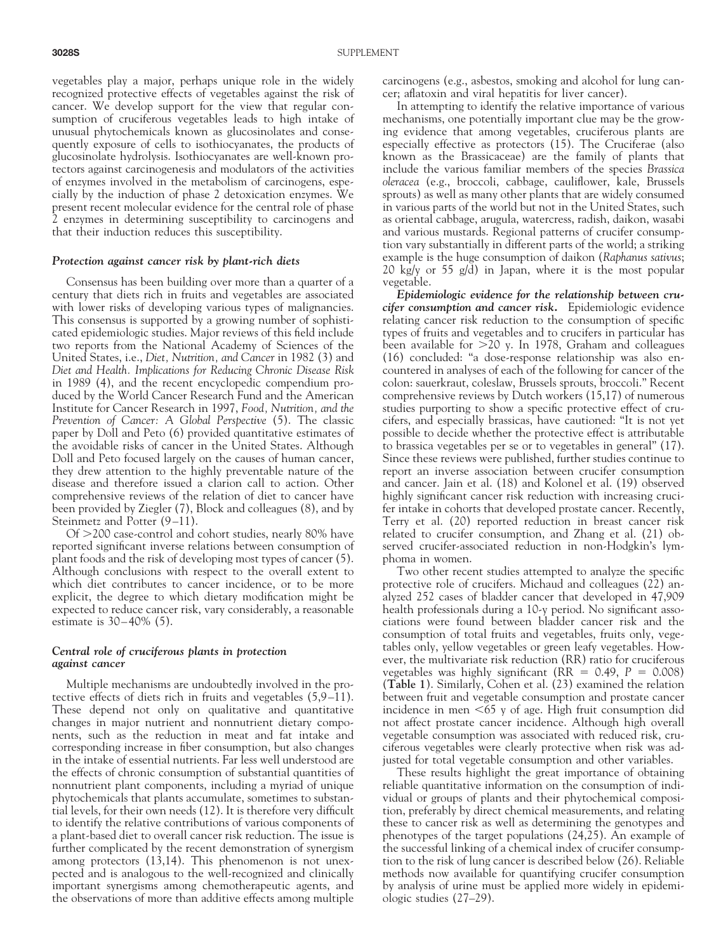vegetables play a major, perhaps unique role in the widely recognized protective effects of vegetables against the risk of cancer. We develop support for the view that regular consumption of cruciferous vegetables leads to high intake of unusual phytochemicals known as glucosinolates and consequently exposure of cells to isothiocyanates, the products of glucosinolate hydrolysis. Isothiocyanates are well-known protectors against carcinogenesis and modulators of the activities of enzymes involved in the metabolism of carcinogens, especially by the induction of phase 2 detoxication enzymes. We present recent molecular evidence for the central role of phase 2 enzymes in determining susceptibility to carcinogens and that their induction reduces this susceptibility.

#### *Protection against cancer risk by plant-rich diets*

Consensus has been building over more than a quarter of a century that diets rich in fruits and vegetables are associated with lower risks of developing various types of malignancies. This consensus is supported by a growing number of sophisticated epidemiologic studies. Major reviews of this field include two reports from the National Academy of Sciences of the United States, i.e., *Diet, Nutrition, and Cancer* in 1982 (3) and *Diet and Health. Implications for Reducing Chronic Disease Risk* in 1989 (4), and the recent encyclopedic compendium produced by the World Cancer Research Fund and the American Institute for Cancer Research in 1997, *Food, Nutrition, and the Prevention of Cancer: A Global Perspective* (5). The classic paper by Doll and Peto (6) provided quantitative estimates of the avoidable risks of cancer in the United States. Although Doll and Peto focused largely on the causes of human cancer, they drew attention to the highly preventable nature of the disease and therefore issued a clarion call to action. Other comprehensive reviews of the relation of diet to cancer have been provided by Ziegler (7), Block and colleagues (8), and by Steinmetz and Potter (9–11).

Of  $>$  200 case-control and cohort studies, nearly 80% have reported significant inverse relations between consumption of plant foods and the risk of developing most types of cancer (5). Although conclusions with respect to the overall extent to which diet contributes to cancer incidence, or to be more explicit, the degree to which dietary modification might be expected to reduce cancer risk, vary considerably, a reasonable estimate is 30–40% (5).

# *Central role of cruciferous plants in protection against cancer*

Multiple mechanisms are undoubtedly involved in the protective effects of diets rich in fruits and vegetables (5,9–11). These depend not only on qualitative and quantitative changes in major nutrient and nonnutrient dietary components, such as the reduction in meat and fat intake and corresponding increase in fiber consumption, but also changes in the intake of essential nutrients. Far less well understood are the effects of chronic consumption of substantial quantities of nonnutrient plant components, including a myriad of unique phytochemicals that plants accumulate, sometimes to substantial levels, for their own needs (12). It is therefore very difficult to identify the relative contributions of various components of a plant-based diet to overall cancer risk reduction. The issue is further complicated by the recent demonstration of synergism among protectors (13,14). This phenomenon is not unexpected and is analogous to the well-recognized and clinically important synergisms among chemotherapeutic agents, and the observations of more than additive effects among multiple carcinogens (e.g., asbestos, smoking and alcohol for lung cancer; aflatoxin and viral hepatitis for liver cancer).

In attempting to identify the relative importance of various mechanisms, one potentially important clue may be the growing evidence that among vegetables, cruciferous plants are especially effective as protectors (15). The Cruciferae (also known as the Brassicaceae) are the family of plants that include the various familiar members of the species *Brassica oleracea* (e.g., broccoli, cabbage, cauliflower, kale, Brussels sprouts) as well as many other plants that are widely consumed in various parts of the world but not in the United States, such as oriental cabbage, arugula, watercress, radish, daikon, wasabi and various mustards. Regional patterns of crucifer consumption vary substantially in different parts of the world; a striking example is the huge consumption of daikon (*Raphanus sativus*; 20 kg/y or 55 g/d) in Japan, where it is the most popular vegetable.

*Epidemiologic evidence for the relationship between crucifer consumption and cancer risk.* Epidemiologic evidence relating cancer risk reduction to the consumption of specific types of fruits and vegetables and to crucifers in particular has been available for  $>20$  y. In 1978, Graham and colleagues (16) concluded: "a dose-response relationship was also encountered in analyses of each of the following for cancer of the colon: sauerkraut, coleslaw, Brussels sprouts, broccoli." Recent comprehensive reviews by Dutch workers (15,17) of numerous studies purporting to show a specific protective effect of crucifers, and especially brassicas, have cautioned: "It is not yet possible to decide whether the protective effect is attributable to brassica vegetables per se or to vegetables in general" (17). Since these reviews were published, further studies continue to report an inverse association between crucifer consumption and cancer. Jain et al. (18) and Kolonel et al. (19) observed highly significant cancer risk reduction with increasing crucifer intake in cohorts that developed prostate cancer. Recently, Terry et al. (20) reported reduction in breast cancer risk related to crucifer consumption, and Zhang et al. (21) observed crucifer-associated reduction in non-Hodgkin's lymphoma in women.

Two other recent studies attempted to analyze the specific protective role of crucifers. Michaud and colleagues (22) analyzed 252 cases of bladder cancer that developed in 47,909 health professionals during a 10-y period. No significant associations were found between bladder cancer risk and the consumption of total fruits and vegetables, fruits only, vegetables only, yellow vegetables or green leafy vegetables. However, the multivariate risk reduction (RR) ratio for cruciferous vegetables was highly significant ( $RR = 0.49$ ,  $P = 0.008$ ) (**Table 1**). Similarly, Cohen et al. (23) examined the relation between fruit and vegetable consumption and prostate cancer incidence in men  $\leq 65$  y of age. High fruit consumption did not affect prostate cancer incidence. Although high overall vegetable consumption was associated with reduced risk, cruciferous vegetables were clearly protective when risk was adjusted for total vegetable consumption and other variables.

These results highlight the great importance of obtaining reliable quantitative information on the consumption of individual or groups of plants and their phytochemical composition, preferably by direct chemical measurements, and relating these to cancer risk as well as determining the genotypes and phenotypes of the target populations (24,25). An example of the successful linking of a chemical index of crucifer consumption to the risk of lung cancer is described below (26). Reliable methods now available for quantifying crucifer consumption by analysis of urine must be applied more widely in epidemiologic studies (27–29).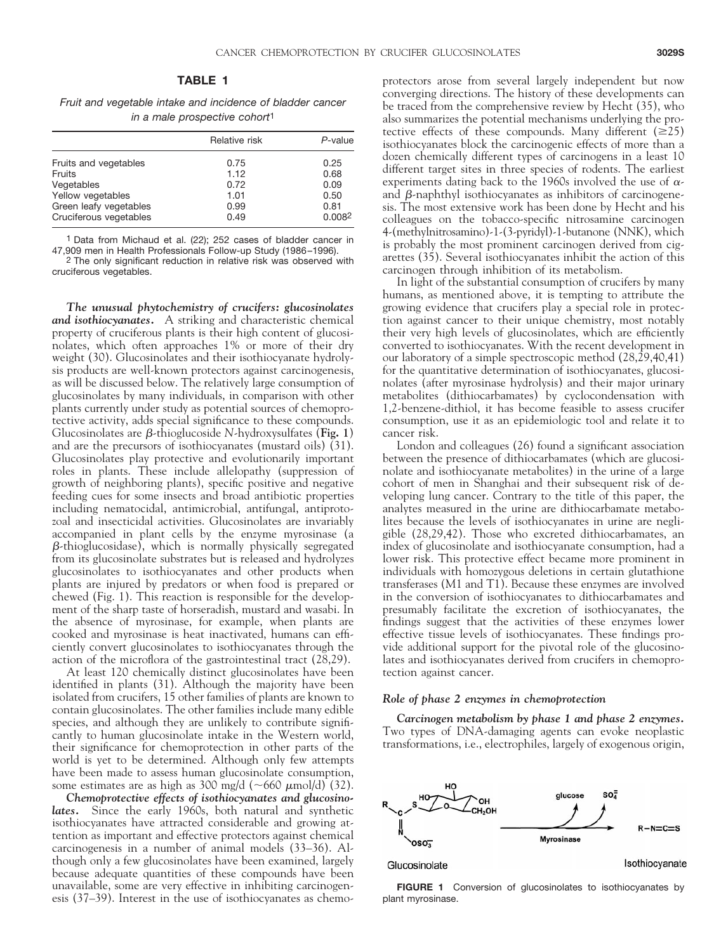# **TABLE 1**

*Fruit and vegetable intake and incidence of bladder cancer in a male prospective cohort*1

|                        | Relative risk | P-value |
|------------------------|---------------|---------|
| Fruits and vegetables  | 0.75          | 0.25    |
| Fruits                 | 1.12          | 0.68    |
| Vegetables             | 0.72          | 0.09    |
| Yellow vegetables      | 1.01          | 0.50    |
| Green leafy vegetables | 0.99          | 0.81    |
| Cruciferous vegetables | 0.49          | 0.0082  |

1 Data from Michaud et al. (22); 252 cases of bladder cancer in 47,909 men in Health Professionals Follow-up Study (1986–1996).

2 The only significant reduction in relative risk was observed with cruciferous vegetables.

*The unusual phytochemistry of crucifers: glucosinolates and isothiocyanates.* A striking and characteristic chemical property of cruciferous plants is their high content of glucosinolates, which often approaches 1% or more of their dry weight (30). Glucosinolates and their isothiocyanate hydrolysis products are well-known protectors against carcinogenesis, as will be discussed below. The relatively large consumption of glucosinolates by many individuals, in comparison with other plants currently under study as potential sources of chemoprotective activity, adds special significance to these compounds. Glucosinolates are  $\beta$ -thioglucoside *N*-hydroxysulfates (**Fig. 1**) and are the precursors of isothiocyanates (mustard oils) (31). Glucosinolates play protective and evolutionarily important roles in plants. These include allelopathy (suppression of growth of neighboring plants), specific positive and negative feeding cues for some insects and broad antibiotic properties including nematocidal, antimicrobial, antifungal, antiprotozoal and insecticidal activities. Glucosinolates are invariably accompanied in plant cells by the enzyme myrosinase (a  $\beta$ -thioglucosidase), which is normally physically segregated from its glucosinolate substrates but is released and hydrolyzes glucosinolates to isothiocyanates and other products when plants are injured by predators or when food is prepared or chewed (Fig. 1). This reaction is responsible for the development of the sharp taste of horseradish, mustard and wasabi. In the absence of myrosinase, for example, when plants are cooked and myrosinase is heat inactivated, humans can efficiently convert glucosinolates to isothiocyanates through the action of the microflora of the gastrointestinal tract (28,29).

At least 120 chemically distinct glucosinolates have been identified in plants (31). Although the majority have been isolated from crucifers, 15 other families of plants are known to contain glucosinolates. The other families include many edible species, and although they are unlikely to contribute significantly to human glucosinolate intake in the Western world, their significance for chemoprotection in other parts of the world is yet to be determined. Although only few attempts have been made to assess human glucosinolate consumption, some estimates are as high as 300 mg/d ( $\sim$ 660  $\mu$ mol/d) (32).

*Chemoprotective effects of isothiocyanates and glucosinolates.* Since the early 1960s, both natural and synthetic isothiocyanates have attracted considerable and growing attention as important and effective protectors against chemical carcinogenesis in a number of animal models (33–36). Although only a few glucosinolates have been examined, largely because adequate quantities of these compounds have been unavailable, some are very effective in inhibiting carcinogenesis (37–39). Interest in the use of isothiocyanates as chemoprotectors arose from several largely independent but now converging directions. The history of these developments can be traced from the comprehensive review by Hecht (35), who also summarizes the potential mechanisms underlying the protective effects of these compounds. Many different  $(\geq 25)$ isothiocyanates block the carcinogenic effects of more than a dozen chemically different types of carcinogens in a least 10 different target sites in three species of rodents. The earliest experiments dating back to the 1960s involved the use of  $\alpha$ and  $\beta$ -naphthyl isothiocyanates as inhibitors of carcinogenesis. The most extensive work has been done by Hecht and his colleagues on the tobacco-specific nitrosamine carcinogen 4-(methylnitrosamino)-1-(3-pyridyl)-1-butanone (NNK), which is probably the most prominent carcinogen derived from cigarettes (35). Several isothiocyanates inhibit the action of this carcinogen through inhibition of its metabolism.

In light of the substantial consumption of crucifers by many humans, as mentioned above, it is tempting to attribute the growing evidence that crucifers play a special role in protection against cancer to their unique chemistry, most notably their very high levels of glucosinolates, which are efficiently converted to isothiocyanates. With the recent development in our laboratory of a simple spectroscopic method (28,29,40,41) for the quantitative determination of isothiocyanates, glucosinolates (after myrosinase hydrolysis) and their major urinary metabolites (dithiocarbamates) by cyclocondensation with 1,2-benzene-dithiol, it has become feasible to assess crucifer consumption, use it as an epidemiologic tool and relate it to cancer risk.

London and colleagues (26) found a significant association between the presence of dithiocarbamates (which are glucosinolate and isothiocyanate metabolites) in the urine of a large cohort of men in Shanghai and their subsequent risk of developing lung cancer. Contrary to the title of this paper, the analytes measured in the urine are dithiocarbamate metabolites because the levels of isothiocyanates in urine are negligible (28,29,42). Those who excreted dithiocarbamates, an index of glucosinolate and isothiocyanate consumption, had a lower risk. This protective effect became more prominent in individuals with homozygous deletions in certain glutathione transferases (M1 and T1). Because these enzymes are involved in the conversion of isothiocyanates to dithiocarbamates and presumably facilitate the excretion of isothiocyanates, the findings suggest that the activities of these enzymes lower effective tissue levels of isothiocyanates. These findings provide additional support for the pivotal role of the glucosinolates and isothiocyanates derived from crucifers in chemoprotection against cancer.

#### *Role of phase 2 enzymes in chemoprotection*

*Carcinogen metabolism by phase 1 and phase 2 enzymes.* Two types of DNA-damaging agents can evoke neoplastic transformations, i.e., electrophiles, largely of exogenous origin,



**FIGURE 1** Conversion of glucosinolates to isothiocyanates by plant myrosinase.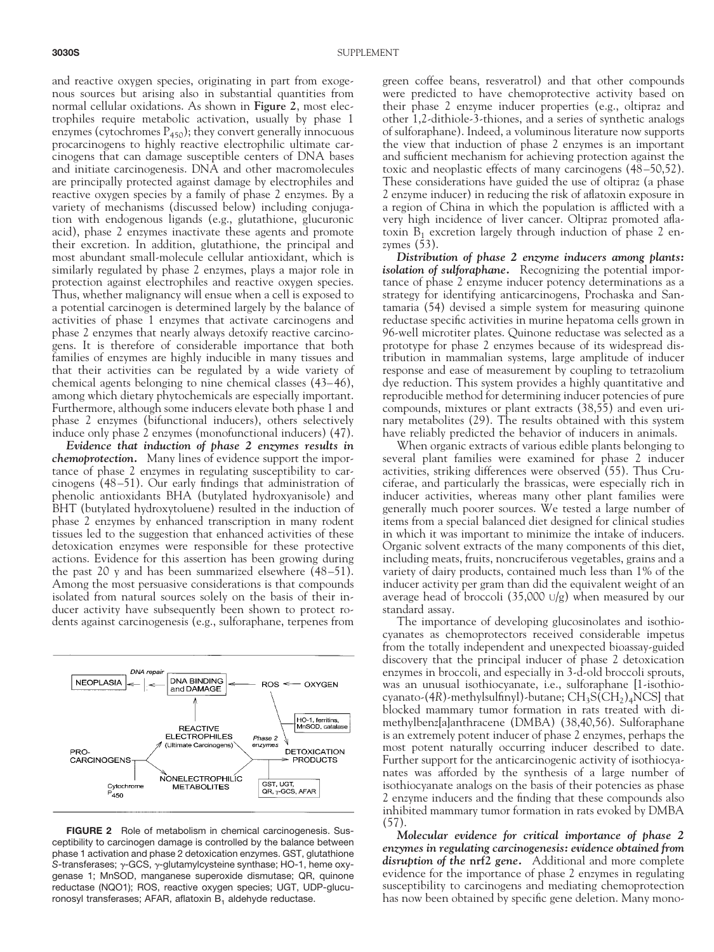and reactive oxygen species, originating in part from exogenous sources but arising also in substantial quantities from normal cellular oxidations. As shown in **Figure 2**, most electrophiles require metabolic activation, usually by phase 1 enzymes (cytochromes  $P_{450}$ ); they convert generally innocuous procarcinogens to highly reactive electrophilic ultimate carcinogens that can damage susceptible centers of DNA bases and initiate carcinogenesis. DNA and other macromolecules are principally protected against damage by electrophiles and reactive oxygen species by a family of phase 2 enzymes. By a variety of mechanisms (discussed below) including conjugation with endogenous ligands (e.g., glutathione, glucuronic acid), phase 2 enzymes inactivate these agents and promote their excretion. In addition, glutathione, the principal and most abundant small-molecule cellular antioxidant, which is similarly regulated by phase 2 enzymes, plays a major role in protection against electrophiles and reactive oxygen species. Thus, whether malignancy will ensue when a cell is exposed to a potential carcinogen is determined largely by the balance of activities of phase 1 enzymes that activate carcinogens and phase 2 enzymes that nearly always detoxify reactive carcinogens. It is therefore of considerable importance that both families of enzymes are highly inducible in many tissues and that their activities can be regulated by a wide variety of chemical agents belonging to nine chemical classes (43–46), among which dietary phytochemicals are especially important. Furthermore, although some inducers elevate both phase 1 and phase 2 enzymes (bifunctional inducers), others selectively induce only phase 2 enzymes (monofunctional inducers) (47).

*Evidence that induction of phase 2 enzymes results in chemoprotection.* Many lines of evidence support the importance of phase 2 enzymes in regulating susceptibility to carcinogens (48–51). Our early findings that administration of phenolic antioxidants BHA (butylated hydroxyanisole) and BHT (butylated hydroxytoluene) resulted in the induction of phase 2 enzymes by enhanced transcription in many rodent tissues led to the suggestion that enhanced activities of these detoxication enzymes were responsible for these protective actions. Evidence for this assertion has been growing during the past 20 y and has been summarized elsewhere (48–51). Among the most persuasive considerations is that compounds isolated from natural sources solely on the basis of their inducer activity have subsequently been shown to protect rodents against carcinogenesis (e.g., sulforaphane, terpenes from



**FIGURE 2** Role of metabolism in chemical carcinogenesis. Susceptibility to carcinogen damage is controlled by the balance between phase 1 activation and phase 2 detoxication enzymes. GST, glutathione S-transferases; γ-GCS, γ-glutamylcysteine synthase; HO-1, heme oxygenase 1; MnSOD, manganese superoxide dismutase; QR, quinone reductase (NQO1); ROS, reactive oxygen species; UGT, UDP-glucuronosyl transferases; AFAR, aflatoxin  $B_1$  aldehyde reductase.

green coffee beans, resveratrol) and that other compounds were predicted to have chemoprotective activity based on their phase 2 enzyme inducer properties (e.g., oltipraz and other 1,2-dithiole-3-thiones, and a series of synthetic analogs of sulforaphane). Indeed, a voluminous literature now supports the view that induction of phase 2 enzymes is an important and sufficient mechanism for achieving protection against the toxic and neoplastic effects of many carcinogens (48–50,52). These considerations have guided the use of oltipraz (a phase 2 enzyme inducer) in reducing the risk of aflatoxin exposure in a region of China in which the population is afflicted with a very high incidence of liver cancer. Oltipraz promoted aflatoxin  $B_1$  excretion largely through induction of phase 2 enzymes (53).

*Distribution of phase 2 enzyme inducers among plants: isolation of sulforaphane.* Recognizing the potential importance of phase 2 enzyme inducer potency determinations as a strategy for identifying anticarcinogens, Prochaska and Santamaria (54) devised a simple system for measuring quinone reductase specific activities in murine hepatoma cells grown in 96-well microtiter plates. Quinone reductase was selected as a prototype for phase 2 enzymes because of its widespread distribution in mammalian systems, large amplitude of inducer response and ease of measurement by coupling to tetrazolium dye reduction. This system provides a highly quantitative and reproducible method for determining inducer potencies of pure compounds, mixtures or plant extracts (38,55) and even urinary metabolites (29). The results obtained with this system have reliably predicted the behavior of inducers in animals.

When organic extracts of various edible plants belonging to several plant families were examined for phase 2 inducer activities, striking differences were observed (55). Thus Cruciferae, and particularly the brassicas, were especially rich in inducer activities, whereas many other plant families were generally much poorer sources. We tested a large number of items from a special balanced diet designed for clinical studies in which it was important to minimize the intake of inducers. Organic solvent extracts of the many components of this diet, including meats, fruits, noncruciferous vegetables, grains and a variety of dairy products, contained much less than 1% of the inducer activity per gram than did the equivalent weight of an average head of broccoli (35,000 U/g) when measured by our standard assay.

The importance of developing glucosinolates and isothiocyanates as chemoprotectors received considerable impetus from the totally independent and unexpected bioassay-guided discovery that the principal inducer of phase 2 detoxication enzymes in broccoli, and especially in 3-d-old broccoli sprouts, was an unusual isothiocyanate, i.e., sulforaphane [1-isothiocyanato- $(4R)$ -methylsulfinyl)-butane;  $CH_3SCH_2_ANCS$  that blocked mammary tumor formation in rats treated with dimethylbenz[a]anthracene (DMBA) (38,40,56). Sulforaphane is an extremely potent inducer of phase 2 enzymes, perhaps the most potent naturally occurring inducer described to date. Further support for the anticarcinogenic activity of isothiocyanates was afforded by the synthesis of a large number of isothiocyanate analogs on the basis of their potencies as phase 2 enzyme inducers and the finding that these compounds also inhibited mammary tumor formation in rats evoked by DMBA (57).

*Molecular evidence for critical importance of phase 2 enzymes in regulating carcinogenesis: evidence obtained from disruption of the* **nrf2** *gene.* Additional and more complete evidence for the importance of phase 2 enzymes in regulating susceptibility to carcinogens and mediating chemoprotection has now been obtained by specific gene deletion. Many mono-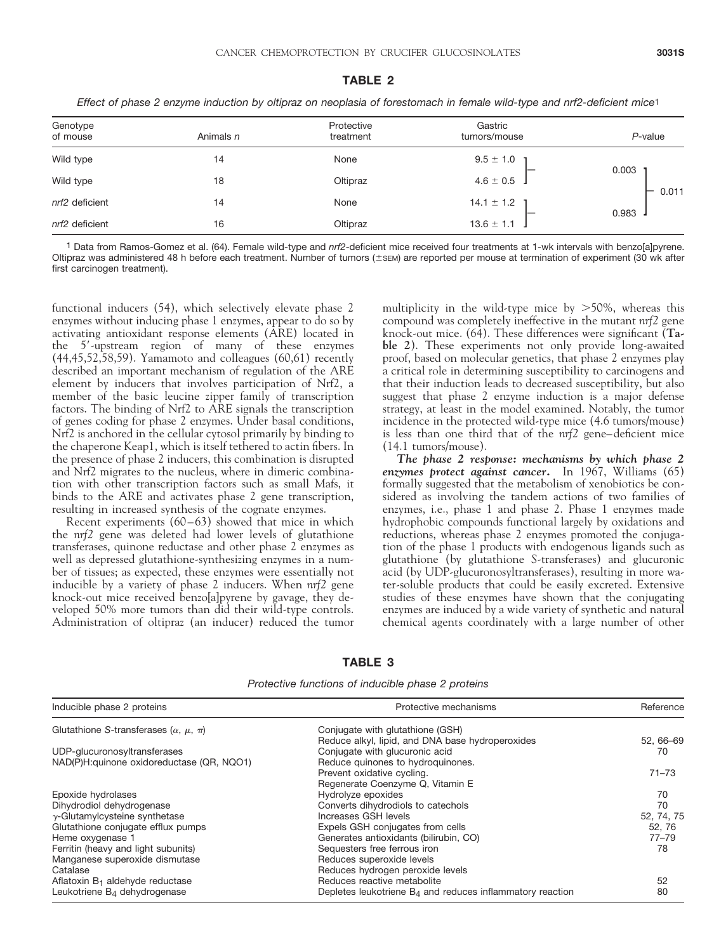0.011

| Effect of phase 2 enzyme induction by oltipraz on neoplasia of forestomach in female wild-type and nrf2-deficient mice1 |           |                         |                         |            |  |  |
|-------------------------------------------------------------------------------------------------------------------------|-----------|-------------------------|-------------------------|------------|--|--|
| Genotype<br>of mouse                                                                                                    | Animals n | Protective<br>treatment | Gastric<br>tumors/mouse | $P$ -value |  |  |
| Wild type                                                                                                               | 14        | None                    | $9.5 \pm 1.0$           | 0.003      |  |  |
| Wild type                                                                                                               | 18        | Oltipraz                | $4.6 \pm 0.5$           |            |  |  |
| nrf2 deficient                                                                                                          | 14        | None                    | $14.1 \pm 1.2$          | 0.983      |  |  |
| nrf2 deficient                                                                                                          | 16        | Oltipraz                | $13.6 \pm 1.1$          |            |  |  |

**TABLE 2**

*Effect of phase 2 enzyme induction by oltipraz on neoplasia of forestomach in female wild-type and nrf2-deficient mice*1

1 Data from Ramos-Gomez et al. (64). Female wild-type and *nrf2*-deficient mice received four treatments at 1-wk intervals with benzo[a]pyrene. Oltipraz was administered 48 h before each treatment. Number of tumors (±sEM) are reported per mouse at termination of experiment (30 wk after first carcinogen treatment).

functional inducers (54), which selectively elevate phase 2 enzymes without inducing phase 1 enzymes, appear to do so by activating antioxidant response elements (ARE) located in the 5'-upstream region of many of these enzymes (44,45,52,58,59). Yamamoto and colleagues (60,61) recently described an important mechanism of regulation of the ARE element by inducers that involves participation of Nrf2, a member of the basic leucine zipper family of transcription factors. The binding of Nrf2 to ARE signals the transcription of genes coding for phase 2 enzymes. Under basal conditions, Nrf2 is anchored in the cellular cytosol primarily by binding to the chaperone Keap1, which is itself tethered to actin fibers. In the presence of phase 2 inducers, this combination is disrupted and Nrf2 migrates to the nucleus, where in dimeric combination with other transcription factors such as small Mafs, it binds to the ARE and activates phase 2 gene transcription, resulting in increased synthesis of the cognate enzymes.

Recent experiments (60–63) showed that mice in which the *nrf2* gene was deleted had lower levels of glutathione transferases, quinone reductase and other phase 2 enzymes as well as depressed glutathione-synthesizing enzymes in a number of tissues; as expected, these enzymes were essentially not inducible by a variety of phase 2 inducers. When *nrf2* gene knock-out mice received benzo[a]pyrene by gavage, they developed 50% more tumors than did their wild-type controls. Administration of oltipraz (an inducer) reduced the tumor

multiplicity in the wild-type mice by  $>50\%$ , whereas this compound was completely ineffective in the mutant *nrf2* gene knock-out mice. (64). These differences were significant (**Table 2**). These experiments not only provide long-awaited proof, based on molecular genetics, that phase 2 enzymes play a critical role in determining susceptibility to carcinogens and that their induction leads to decreased susceptibility, but also suggest that phase 2 enzyme induction is a major defense strategy, at least in the model examined. Notably, the tumor incidence in the protected wild-type mice (4.6 tumors/mouse) is less than one third that of the *nrf2* gene–deficient mice (14.1 tumors/mouse).

*The phase 2 response: mechanisms by which phase 2 enzymes protect against cancer.* In 1967, Williams (65) formally suggested that the metabolism of xenobiotics be considered as involving the tandem actions of two families of enzymes, i.e., phase 1 and phase 2. Phase 1 enzymes made hydrophobic compounds functional largely by oxidations and reductions, whereas phase 2 enzymes promoted the conjugation of the phase 1 products with endogenous ligands such as glutathione (by glutathione *S*-transferases) and glucuronic acid (by UDP-glucuronosyltransferases), resulting in more water-soluble products that could be easily excreted. Extensive studies of these enzymes have shown that the conjugating enzymes are induced by a wide variety of synthetic and natural chemical agents coordinately with a large number of other

| Inducible phase 2 proteins                              | Protective mechanisms                                        | Reference  |
|---------------------------------------------------------|--------------------------------------------------------------|------------|
| Glutathione S-transferases ( $\alpha$ , $\mu$ , $\pi$ ) | Conjugate with glutathione (GSH)                             |            |
|                                                         | Reduce alkyl, lipid, and DNA base hydroperoxides             | 52, 66-69  |
| UDP-glucuronosyltransferases                            | Conjugate with glucuronic acid                               | 70         |
| NAD(P)H: quinone oxidoreductase (QR, NQO1)              | Reduce quinones to hydroquinones.                            |            |
|                                                         | Prevent oxidative cycling.                                   | $71 - 73$  |
|                                                         | Regenerate Coenzyme Q, Vitamin E                             |            |
| Epoxide hydrolases                                      | Hydrolyze epoxides                                           | 70         |
| Dihydrodiol dehydrogenase                               | Converts dihydrodiols to catechols                           | 70         |
| $\gamma$ -Glutamylcysteine synthetase                   | Increases GSH levels                                         | 52, 74, 75 |
| Glutathione conjugate efflux pumps                      | Expels GSH conjugates from cells                             | 52, 76     |
| Heme oxygenase 1                                        | Generates antioxidants (bilirubin, CO)                       | $77 - 79$  |
| Ferritin (heavy and light subunits)                     | Sequesters free ferrous iron                                 | 78         |
| Manganese superoxide dismutase                          | Reduces superoxide levels                                    |            |
| Catalase                                                | Reduces hydrogen peroxide levels                             |            |
| Aflatoxin B <sub>1</sub> aldehyde reductase             | Reduces reactive metabolite                                  | 52         |
| Leukotriene B <sub>4</sub> dehydrogenase                | Depletes leukotriene $B_4$ and reduces inflammatory reaction | 80         |

**TABLE 3**

*Protective functions of inducible phase 2 proteins*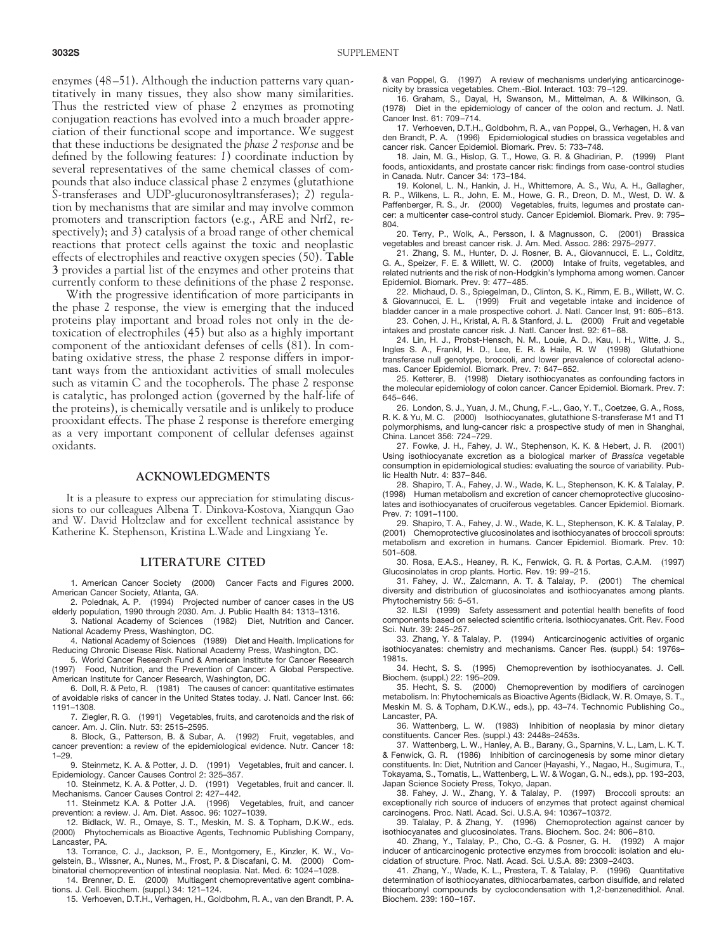enzymes (48–51). Although the induction patterns vary quantitatively in many tissues, they also show many similarities. Thus the restricted view of phase 2 enzymes as promoting conjugation reactions has evolved into a much broader appreciation of their functional scope and importance. We suggest that these inductions be designated the *phase 2 response* and be defined by the following features: *1*) coordinate induction by several representatives of the same chemical classes of compounds that also induce classical phase 2 enzymes (glutathione *S*-transferases and UDP-glucuronosyltransferases); *2*) regulation by mechanisms that are similar and may involve common promoters and transcription factors (e.g., ARE and Nrf2, respectively); and *3*) catalysis of a broad range of other chemical reactions that protect cells against the toxic and neoplastic effects of electrophiles and reactive oxygen species (50). **Table 3** provides a partial list of the enzymes and other proteins that currently conform to these definitions of the phase 2 response.

With the progressive identification of more participants in the phase 2 response, the view is emerging that the induced proteins play important and broad roles not only in the detoxication of electrophiles (45) but also as a highly important component of the antioxidant defenses of cells (81). In combating oxidative stress, the phase 2 response differs in important ways from the antioxidant activities of small molecules such as vitamin C and the tocopherols. The phase 2 response is catalytic, has prolonged action (governed by the half-life of the proteins), is chemically versatile and is unlikely to produce prooxidant effects. The phase 2 response is therefore emerging as a very important component of cellular defenses against oxidants.

## **ACKNOWLEDGMENTS**

It is a pleasure to express our appreciation for stimulating discussions to our colleagues Albena T. Dinkova-Kostova, Xiangqun Gao and W. David Holtzclaw and for excellent technical assistance by Katherine K. Stephenson, Kristina L.Wade and Lingxiang Ye.

## **LITERATURE CITED**

1. American Cancer Society (2000) Cancer Facts and Figures 2000. American Cancer Society, Atlanta, GA.

2. Polednak, A. P. (1994) Projected number of cancer cases in the US elderly population, 1990 through 2030. Am. J. Public Health 84: 1313–1316.

3. National Academy of Sciences (1982) Diet, Nutrition and Cancer. National Academy Press, Washington, DC.

4. National Academy of Sciences (1989) Diet and Health. Implications for Reducing Chronic Disease Risk. National Academy Press, Washington, DC.

5. World Cancer Research Fund & American Institute for Cancer Research (1997) Food, Nutrition, and the Prevention of Cancer: A Global Perspective. American Institute for Cancer Research, Washington, DC.

6. Doll, R. & Peto, R. (1981) The causes of cancer: quantitative estimates of avoidable risks of cancer in the United States today. J. Natl. Cancer Inst. 66: 1191–1308.

7. Ziegler, R. G. (1991) Vegetables, fruits, and carotenoids and the risk of cancer. Am. J. Clin. Nutr. 53: 2515–2595.

8. Block, G., Patterson, B. & Subar, A. (1992) Fruit, vegetables, and cancer prevention: a review of the epidemiological evidence. Nutr. Cancer 18: 1–29.

9. Steinmetz, K. A. & Potter, J. D. (1991) Vegetables, fruit and cancer. I. Epidemiology. Cancer Causes Control 2: 325–357.

10. Steinmetz, K. A. & Potter, J. D. (1991) Vegetables, fruit and cancer. II. Mechanisms. Cancer Causes Control 2: 427–442.

11. Steinmetz K.A. & Potter J.A. (1996) Vegetables, fruit, and cancer prevention: a review. J. Am. Diet. Assoc. 96: 1027–1039.

12. Bidlack, W. R., Omaye, S. T., Meskin, M. S. & Topham, D.K.W., eds. (2000) Phytochemicals as Bioactive Agents, Technomic Publishing Company, Lancaster, PA.

13. Torrance, C. J., Jackson, P. E., Montgomery, E., Kinzler, K. W., Vogelstein, B., Wissner, A., Nunes, M., Frost, P. & Discafani, C. M. (2000) Combinatorial chemoprevention of intestinal neoplasia. Nat. Med. 6: 1024–1028.

14. Brenner, D. E. (2000) Multiagent chemopreventative agent combinations. J. Cell. Biochem. (suppl.) 34: 121–124.

15. Verhoeven, D.T.H., Verhagen, H., Goldbohm, R. A., van den Brandt, P. A.

& van Poppel, G. (1997) A review of mechanisms underlying anticarcinogenicity by brassica vegetables. Chem.-Biol. Interact. 103: 79–129.

16. Graham, S., Dayal, H, Swanson, M., Mittelman, A. & Wilkinson, G. (1978) Diet in the epidemiology of cancer of the colon and rectum. J. Natl. Cancer Inst. 61: 709–714.

17. Verhoeven, D.T.H., Goldbohm, R. A., van Poppel, G., Verhagen, H. & van den Brandt, P. A. (1996) Epidemiological studies on brassica vegetables and cancer risk. Cancer Epidemiol. Biomark. Prev. 5: 733–748.

18. Jain, M. G., Hislop, G. T., Howe, G. R. & Ghadirian, P. (1999) Plant foods, antioxidants, and prostate cancer risk: findings from case-control studies in Canada. Nutr. Cancer 34: 173–184.

19. Kolonel, L. N., Hankin, J. H., Whittemore, A. S., Wu, A. H., Gallagher, R. P., Wilkens, L. R., John, E. M., Howe, G. R., Dreon, D. M., West, D. W. & Paffenberger, R. S., Jr. (2000) Vegetables, fruits, legumes and prostate cancer: a multicenter case-control study. Cancer Epidemiol. Biomark. Prev. 9: 795– 804.

20. Terry, P., Wolk, A., Persson, I. & Magnusson, C. (2001) Brassica vegetables and breast cancer risk. J. Am. Med. Assoc. 286: 2975–2977.

21. Zhang, S. M., Hunter, D. J. Rosner, B. A., Giovannucci, E. L., Colditz, G. A., Speizer, F. E. & Willett, W. C. (2000) Intake of fruits, vegetables, and related nutrients and the risk of non-Hodgkin's lymphoma among women. Cancer Epidemiol. Biomark. Prev. 9: 477–485.

22. Michaud, D. S., Spiegelman, D., Clinton, S. K., Rimm, E. B., Willett, W. C. & Giovannucci, E. L. (1999) Fruit and vegetable intake and incidence of bladder cancer in a male prospective cohort. J. Natl. Cancer Inst, 91: 605–613.

23. Cohen, J. H., Kristal, A. R. & Stanford, J. L. (2000) Fruit and vegetable intakes and prostate cancer risk. J. Natl. Cancer Inst. 92: 61–68.

24. Lin, H. J., Probst-Hensch, N. M., Louie, A. D., Kau, I. H., Witte, J. S., Ingles S. A., Frankl, H. D., Lee, E. R. & Haile, R. W (1998) Glutathione transferase null genotype, broccoli, and lower prevalence of colorectal adenomas. Cancer Epidemiol. Biomark. Prev. 7: 647–652.

25. Ketterer, B. (1998) Dietary isothiocyanates as confounding factors in the molecular epidemiology of colon cancer. Cancer Epidemiol. Biomark. Prev. 7: 645–646.

26. London, S. J., Yuan, J. M., Chung, F.-L., Gao, Y. T., Coetzee, G. A., Ross, R. K. & Yu, M. C. (2000) Isothiocyanates, glutathione S-transferase M1 and T1 polymorphisms, and lung-cancer risk: a prospective study of men in Shanghai, China. Lancet 356: 724–729.

27. Fowke, J. H., Fahey, J. W., Stephenson, K. K. & Hebert, J. R. (2001) Using isothiocyanate excretion as a biological marker of *Brassica* vegetable consumption in epidemiological studies: evaluating the source of variability. Public Health Nutr. 4: 837–846.

28. Shapiro, T. A., Fahey, J. W., Wade, K. L., Stephenson, K. K. & Talalay, P. (1998) Human metabolism and excretion of cancer chemoprotective glucosinolates and isothiocyanates of cruciferous vegetables. Cancer Epidemiol. Biomark. Prev. 7: 1091–1100.

29. Shapiro, T. A., Fahey, J. W., Wade, K. L., Stephenson, K. K. & Talalay, P. (2001) Chemoprotective glucosinolates and isothiocyanates of broccoli sprouts: metabolism and excretion in humans. Cancer Epidemiol. Biomark. Prev. 10: 501–508.

30. Rosa, E.A.S., Heaney, R. K., Fenwick, G. R. & Portas, C.A.M. (1997) Glucosinolates in crop plants. Hortic. Rev. 19: 99–215.

31. Fahey, J. W., Zalcmann, A. T. & Talalay, P. (2001) The chemical diversity and distribution of glucosinolates and isothiocyanates among plants. Phytochemistry 56: 5–51.

32. ILSI (1999) Safety assessment and potential health benefits of food components based on selected scientific criteria. Isothiocyanates. Crit. Rev. Food Sci. Nutr. 39: 245–257.

33. Zhang, Y. & Talalay, P. (1994) Anticarcinogenic activities of organic isothiocyanates: chemistry and mechanisms. Cancer Res. (suppl.) 54: 1976s–

1981s.<br>34. Hecht, S. S. (1995) Chemoprevention by isothiocyanates. J. Cell. Biochem. (suppl.) 22: 195–209.

35. Hecht, S. S. (2000) Chemoprevention by modifiers of carcinogen metabolism. In: Phytochemicals as Bioactive Agents (Bidlack, W. R. Omaye, S. T., Meskin M. S. & Topham, D.K.W., eds.), pp. 43–74. Technomic Publishing Co., Lancaster, PA.

36. Wattenberg, L. W. (1983) Inhibition of neoplasia by minor dietary constituents. Cancer Res. (suppl.) 43: 2448s–2453s.

37. Wattenberg, L. W., Hanley, A. B., Barany, G., Sparnins, V. L., Lam, L. K. T. & Fenwick, G. R. (1986) Inhibition of carcinogenesis by some minor dietary constituents. In: Diet, Nutrition and Cancer (Hayashi, Y., Nagao, H., Sugimura, T., Tokayama, S., Tomatis, L., Wattenberg, L. W. & Wogan, G. N., eds.), pp. 193–203, Japan Science Society Press, Tokyo, Japan.

38. Fahey, J. W., Zhang, Y. & Talalay, P. (1997) Broccoli sprouts: an exceptionally rich source of inducers of enzymes that protect against chemical carcinogens. Proc. Natl. Acad. Sci. U.S.A. 94: 10367–10372.

39. Talalay, P. & Zhang, Y. (1996) Chemoprotection against cancer by isothiocyanates and glucosinolates. Trans. Biochem. Soc. 24: 806–810.

40. Zhang, Y., Talalay, P., Cho, C.-G. & Posner, G. H. (1992) A major inducer of anticarcinogenic protective enzymes from broccoli: isolation and elucidation of structure. Proc. Natl. Acad. Sci. U.S.A. 89: 2309–2403.

41. Zhang, Y., Wade, K. L., Prestera, T. & Talalay, P. (1996) Quantitative determination of isothiocyanates, dithiocarbamates, carbon disulfide, and related thiocarbonyl compounds by cyclocondensation with 1,2-benzenedithiol. Anal. Biochem. 239: 160–167.